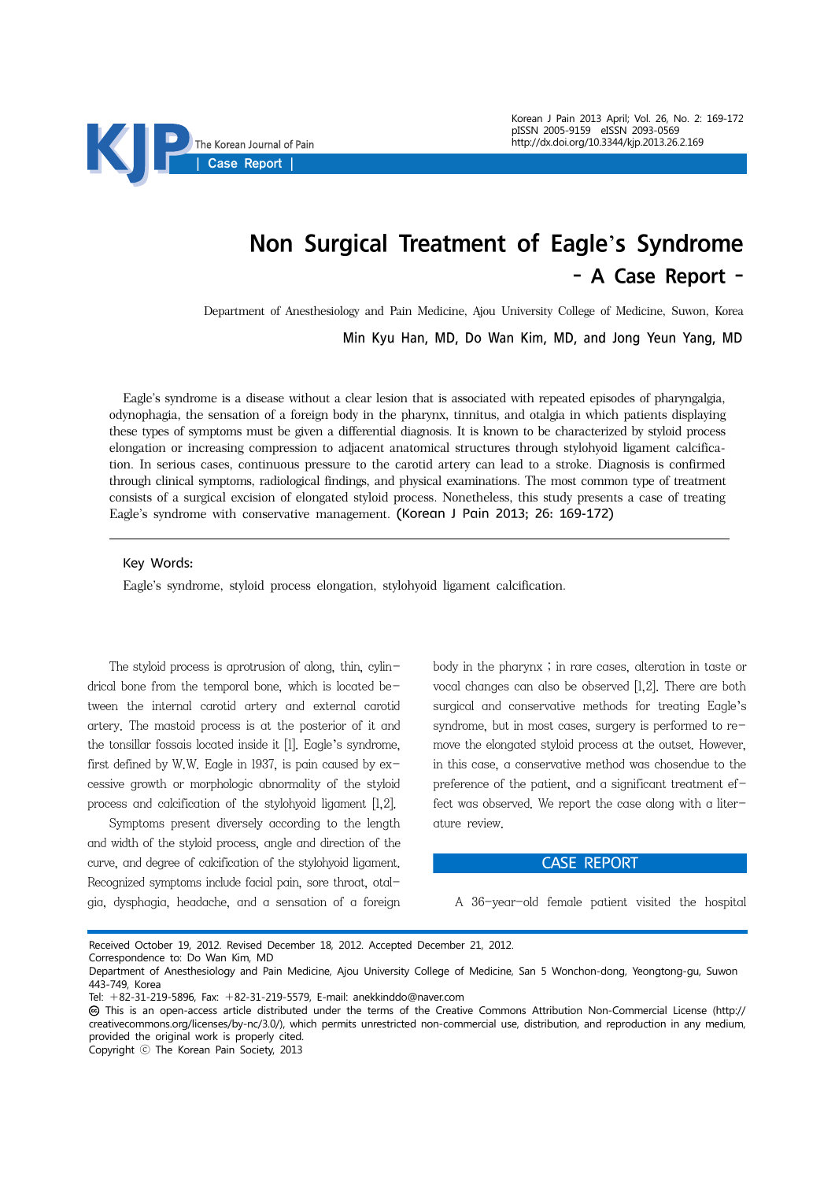

# Non Surgical Treatment of Eagle's Syndrome - A Case Report -

Department of Anesthesiology and Pain Medicine, Ajou University College of Medicine, Suwon, Korea

Min Kyu Han, MD, Do Wan Kim, MD, and Jong Yeun Yang, MD

Eagle's syndrome is a disease without a clear lesion that is associated with repeated episodes of pharyngalgia, odynophagia, the sensation of a foreign body in the pharynx, tinnitus, and otalgia in which patients displaying these types of symptoms must be given a differential diagnosis. It is known to be characterized by styloid process elongation or increasing compression to adjacent anatomical structures through stylohyoid ligament calcification. In serious cases, continuous pressure to the carotid artery can lead to a stroke. Diagnosis is confirmed through clinical symptoms, radiological findings, and physical examinations. The most common type of treatment consists of a surgical excision of elongated styloid process. Nonetheless, this study presents a case of treating Eagle's syndrome with conservative management. (Korean J Pain 2013; 26: 169-172)

#### Key Words:

Eagle's syndrome, styloid process elongation, stylohyoid ligament calcification.

The styloid process is aprotrusion of along, thin, cylindrical bone from the temporal bone, which is located between the internal carotid artery and external carotid artery. The mastoid process is at the posterior of it and the tonsillar fossais located inside it [1]. Eagle's syndrome, first defined by W.W. Eagle in 1937, is pain caused by excessive growth or morphologic abnormality of the styloid process and calcification of the stylohyoid ligament [1,2].

Symptoms present diversely according to the length and width of the styloid process, angle and direction of the curve, and degree of calcification of the stylohyoid ligament. Recognized symptoms include facial pain, sore throat, otalgia, dysphagia, headache, and a sensation of a foreign

body in the pharynx ; in rare cases, alteration in taste or vocal changes can also be observed [1,2]. There are both surgical and conservative methods for treating Eagle's syndrome, but in most cases, surgery is performed to remove the elongated styloid process at the outset. However, in this case, a conservative method was chosendue to the preference of the patient, and a significant treatment effect was observed. We report the case along with a literature review.

#### CASE REPORT

A 36-year-old female patient visited the hospital

Received October 19, 2012. Revised December 18, 2012. Accepted December 21, 2012.

Correspondence to: Do Wan Kim, MD

Department of Anesthesiology and Pain Medicine, Ajou University College of Medicine, San 5 Wonchon-dong, Yeongtong-gu, Suwon 443-749, Korea

Tel: +82-31-219-5896, Fax: +82-31-219-5579, E-mail: anekkinddo@naver.com

This is an open-access article distributed under the terms of the Creative Commons Attribution Non-Commercial License (http:// creativecommons.org/licenses/by-nc/3.0/), which permits unrestricted non-commercial use, distribution, and reproduction in any medium, provided the original work is properly cited.

Copyright ⓒ The Korean Pain Society, 2013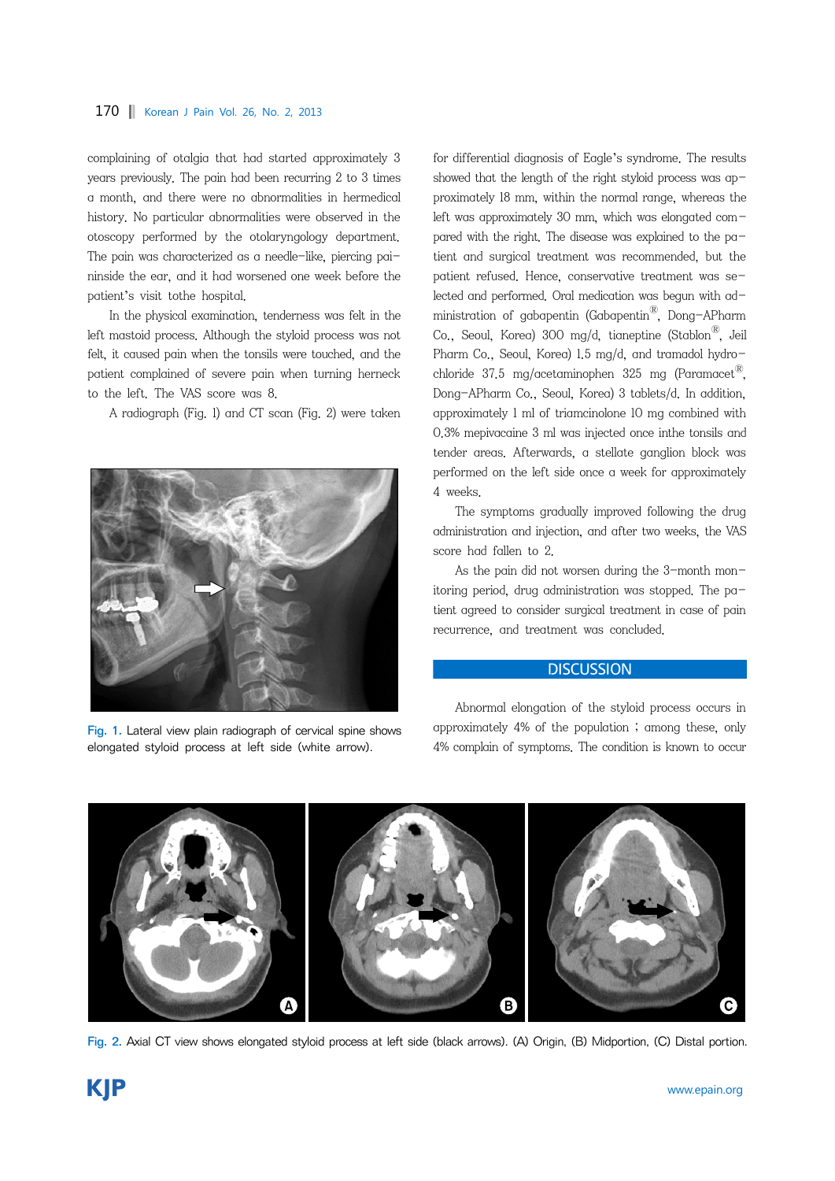## 170 | Korean J Pain Vol. 26, No. 2, 2013

complaining of otalgia that had started approximately 3 years previously. The pain had been recurring 2 to 3 times a month, and there were no abnormalities in hermedical history. No particular abnormalities were observed in the otoscopy performed by the otolaryngology department. The pain was characterized as a needle-like, piercing paininside the ear, and it had worsened one week before the patient's visit tothe hospital.

In the physical examination, tenderness was felt in the left mastoid process. Although the styloid process was not felt, it caused pain when the tonsils were touched, and the patient complained of severe pain when turning herneck to the left. The VAS score was 8.

A radiograph (Fig. 1) and CT scan (Fig. 2) were taken



Fig. 1. Lateral view plain radiograph of cervical spine shows elongated styloid process at left side (white arrow).

for differential diagnosis of Eagle's syndrome. The results showed that the length of the right styloid process was approximately 18 mm, within the normal range, whereas the left was approximately 30 mm, which was elongated compared with the right. The disease was explained to the patient and surgical treatment was recommended, but the patient refused. Hence, conservative treatment was selected and performed. Oral medication was begun with administration of gabapentin (Gabapentin<sup>®</sup>, Dong-APharm Co., Seoul, Korea) 300 mg/d, tianeptine (Stablon<sup>®</sup>, Jeil Pharm Co., Seoul, Korea) 1.5 mg/d, and tramadol hydrochloride 37.5 mg/acetaminophen 325 mg (Paramacet<sup>®</sup>, Dong-APharm Co., Seoul, Korea) 3 tablets/d. In addition, approximately 1 ml of triamcinolone 10 mg combined with 0.3% mepivacaine 3 ml was injected once inthe tonsils and tender areas. Afterwards, a stellate ganglion block was performed on the left side once a week for approximately 4 weeks.

The symptoms gradually improved following the drug administration and injection, and after two weeks, the VAS score had fallen to 2.

As the pain did not worsen during the 3-month monitoring period, drug administration was stopped. The patient agreed to consider surgical treatment in case of pain recurrence, and treatment was concluded.

# **DISCUSSION**

Abnormal elongation of the styloid process occurs in approximately 4% of the population ; among these, only 4% complain of symptoms. The condition is known to occur



Fig. 2. Axial CT view shows elongated styloid process at left side (black arrows). (A) Origin, (B) Midportion, (C) Distal portion.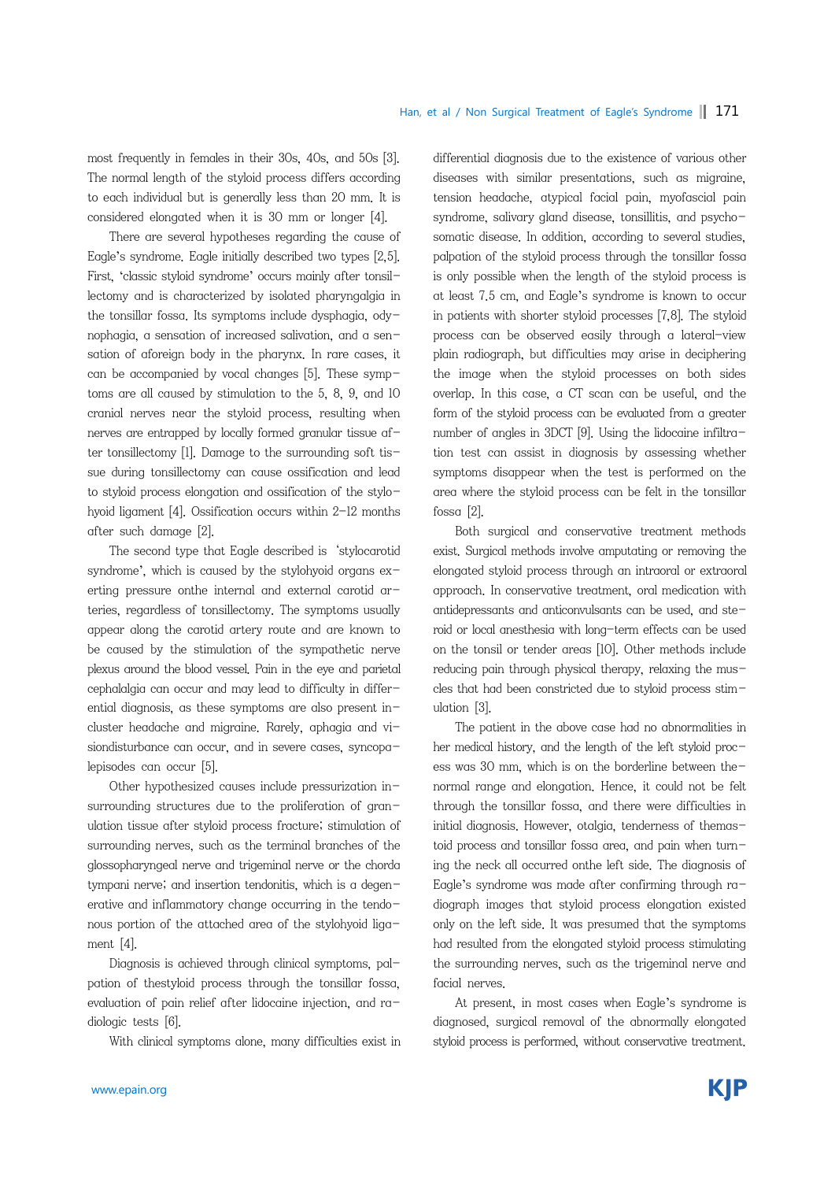most frequently in females in their 30s, 40s, and 50s [3]. The normal length of the styloid process differs according to each individual but is generally less than 20 mm. It is considered elongated when it is 30 mm or longer [4].

There are several hypotheses regarding the cause of Eagle's syndrome. Eagle initially described two types [2,5]. First, 'classic styloid syndrome' occurs mainly after tonsillectomy and is characterized by isolated pharyngalgia in the tonsillar fossa. Its symptoms include dysphagia, odynophagia, a sensation of increased salivation, and a sensation of aforeign body in the pharynx. In rare cases, it can be accompanied by vocal changes [5]. These symptoms are all caused by stimulation to the 5, 8, 9, and 10 cranial nerves near the styloid process, resulting when nerves are entrapped by locally formed granular tissue after tonsillectomy [1]. Damage to the surrounding soft tissue during tonsillectomy can cause ossification and lead to styloid process elongation and ossification of the stylohyoid ligament [4]. Ossification occurs within 2-12 months after such damage [2].

The second type that Eagle described is 'stylocarotid syndrome', which is caused by the stylohyoid organs  $ex$ erting pressure onthe internal and external carotid arteries, regardless of tonsillectomy. The symptoms usually appear along the carotid artery route and are known to be caused by the stimulation of the sympathetic nerve plexus around the blood vessel. Pain in the eye and parietal cephalalgia can occur and may lead to difficulty in differential diagnosis, as these symptoms are also present incluster headache and migraine. Rarely, aphagia and visiondisturbance can occur, and in severe cases, syncopalepisodes can occur [5].

Other hypothesized causes include pressurization insurrounding structures due to the proliferation of granulation tissue after styloid process fracture; stimulation of surrounding nerves, such as the terminal branches of the glossopharyngeal nerve and trigeminal nerve or the chorda tympani nerve; and insertion tendonitis, which is a degenerative and inflammatory change occurring in the tendonous portion of the attached area of the stylohyoid ligament [4].

Diagnosis is achieved through clinical symptoms, palpation of thestyloid process through the tonsillar fossa, evaluation of pain relief after lidocaine injection, and radiologic tests [6].

With clinical symptoms alone, many difficulties exist in

differential diagnosis due to the existence of various other diseases with similar presentations, such as migraine, tension headache, atypical facial pain, myofascial pain syndrome, salivary gland disease, tonsillitis, and psychosomatic disease. In addition, according to several studies, palpation of the styloid process through the tonsillar fossa is only possible when the length of the styloid process is at least 7.5 cm, and Eagle's syndrome is known to occur in patients with shorter styloid processes [7,8]. The styloid process can be observed easily through a lateral-view plain radiograph, but difficulties may arise in deciphering the image when the styloid processes on both sides overlap. In this case, a CT scan can be useful, and the form of the styloid process can be evaluated from a greater number of angles in 3DCT [9]. Using the lidocaine infiltration test can assist in diagnosis by assessing whether symptoms disappear when the test is performed on the area where the styloid process can be felt in the tonsillar fossa [2].

Both surgical and conservative treatment methods exist. Surgical methods involve amputating or removing the elongated styloid process through an intraoral or extraoral approach. In conservative treatment, oral medication with antidepressants and anticonvulsants can be used, and steroid or local anesthesia with long-term effects can be used on the tonsil or tender areas [10]. Other methods include reducing pain through physical therapy, relaxing the muscles that had been constricted due to styloid process stimulation [3].

The patient in the above case had no abnormalities in her medical history, and the length of the left styloid process was 30 mm, which is on the borderline between thenormal range and elongation. Hence, it could not be felt through the tonsillar fossa, and there were difficulties in initial diagnosis. However, otalgia, tenderness of themastoid process and tonsillar fossa area, and pain when turning the neck all occurred onthe left side. The diagnosis of Eagle's syndrome was made after confirming through radiograph images that styloid process elongation existed only on the left side. It was presumed that the symptoms had resulted from the elongated styloid process stimulating the surrounding nerves, such as the trigeminal nerve and facial nerves.

At present, in most cases when Eagle's syndrome is diagnosed, surgical removal of the abnormally elongated styloid process is performed, without conservative treatment.